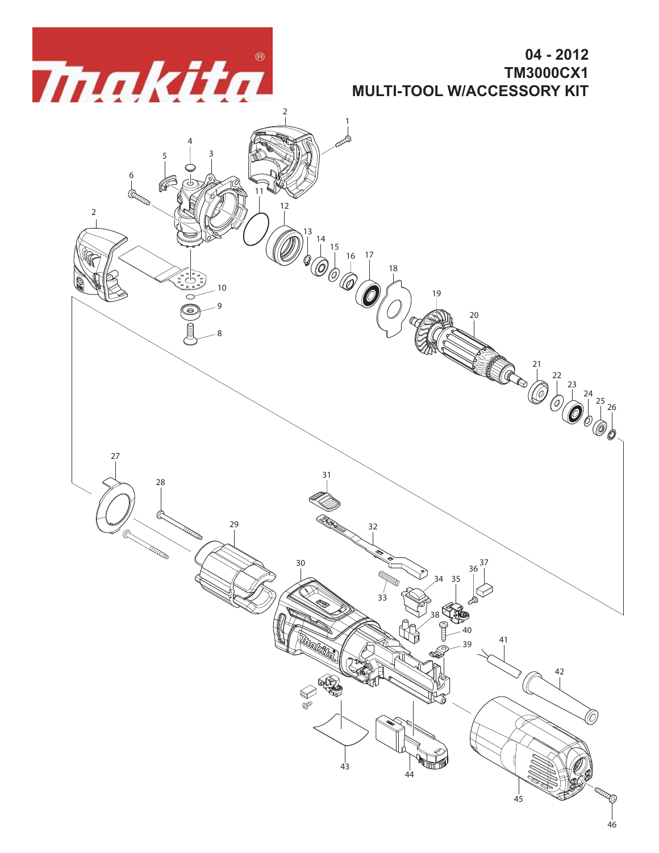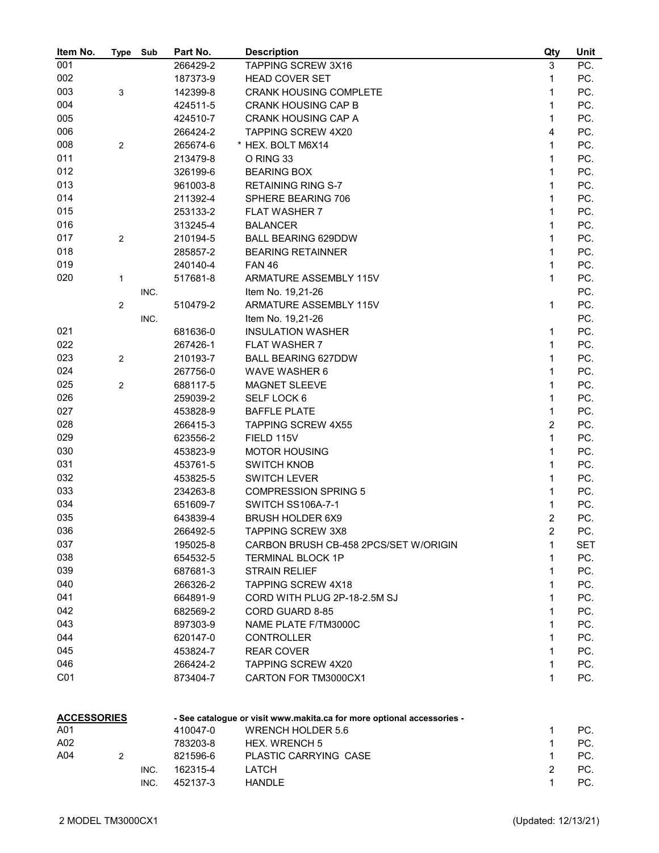| Item No.           | Type           | Sub  | Part No. | <b>Description</b>                                                     | Qty                     | Unit |
|--------------------|----------------|------|----------|------------------------------------------------------------------------|-------------------------|------|
| 001                |                |      | 266429-2 | <b>TAPPING SCREW 3X16</b>                                              | 3                       | PC.  |
| 002                |                |      | 187373-9 | <b>HEAD COVER SET</b>                                                  | 1                       | PC.  |
| 003                | 3              |      | 142399-8 | <b>CRANK HOUSING COMPLETE</b>                                          | 1                       | PC.  |
| 004                |                |      | 424511-5 | <b>CRANK HOUSING CAP B</b>                                             | 1                       | PC.  |
| 005                |                |      | 424510-7 | <b>CRANK HOUSING CAP A</b>                                             | 1                       | PC.  |
| 006                |                |      | 266424-2 | <b>TAPPING SCREW 4X20</b>                                              | 4                       | PC.  |
| 008                | $\overline{2}$ |      | 265674-6 | * HEX. BOLT M6X14                                                      | $\mathbf{1}$            | PC.  |
| 011                |                |      | 213479-8 | O RING 33                                                              | 1                       | PC.  |
| 012                |                |      | 326199-6 | <b>BEARING BOX</b>                                                     | 1                       | PC.  |
| 013                |                |      | 961003-8 | <b>RETAINING RING S-7</b>                                              | 1                       | PC.  |
| 014                |                |      | 211392-4 | SPHERE BEARING 706                                                     | $\mathbf{1}$            | PC.  |
| 015                |                |      | 253133-2 | <b>FLAT WASHER 7</b>                                                   | 1                       | PC.  |
| 016                |                |      | 313245-4 | <b>BALANCER</b>                                                        | 1                       | PC.  |
| 017                | $\mathbf{2}$   |      | 210194-5 | <b>BALL BEARING 629DDW</b>                                             | 1                       | PC.  |
| 018                |                |      | 285857-2 | <b>BEARING RETAINNER</b>                                               | 1                       | PC.  |
| 019                |                |      | 240140-4 | <b>FAN 46</b>                                                          | 1                       | PC.  |
| 020                | $\mathbf{1}$   |      | 517681-8 | ARMATURE ASSEMBLY 115V                                                 | 1                       | PC.  |
|                    |                | INC. |          | Item No. 19,21-26                                                      |                         | PC.  |
|                    | $\overline{2}$ |      | 510479-2 | ARMATURE ASSEMBLY 115V                                                 | 1                       | PC.  |
|                    |                | INC. |          | Item No. 19,21-26                                                      |                         | PC.  |
| 021                |                |      | 681636-0 | <b>INSULATION WASHER</b>                                               | 1                       | PC.  |
| 022                |                |      | 267426-1 | <b>FLAT WASHER 7</b>                                                   | 1                       | PC.  |
| 023                | $\sqrt{2}$     |      | 210193-7 | <b>BALL BEARING 627DDW</b>                                             | 1                       | PC.  |
| 024                |                |      |          |                                                                        | $\mathbf{1}$            | PC.  |
|                    |                |      | 267756-0 | WAVE WASHER 6                                                          | $\mathbf{1}$            | PC.  |
| 025                | 2              |      | 688117-5 | <b>MAGNET SLEEVE</b>                                                   |                         |      |
| 026                |                |      | 259039-2 | SELF LOCK 6                                                            | $\mathbf{1}$            | PC.  |
| 027                |                |      | 453828-9 | <b>BAFFLE PLATE</b>                                                    | 1                       | PC.  |
| 028                |                |      | 266415-3 | <b>TAPPING SCREW 4X55</b>                                              | $\overline{c}$          | PC.  |
| 029                |                |      | 623556-2 | FIELD 115V                                                             | $\mathbf{1}$            | PC.  |
| 030                |                |      | 453823-9 | <b>MOTOR HOUSING</b>                                                   | 1                       | PC.  |
| 031                |                |      | 453761-5 | <b>SWITCH KNOB</b>                                                     | 1                       | PC.  |
| 032                |                |      | 453825-5 | <b>SWITCH LEVER</b>                                                    | 1                       | PC.  |
| 033                |                |      | 234263-8 | <b>COMPRESSION SPRING 5</b>                                            | 1                       | PC.  |
| 034                |                |      | 651609-7 | <b>SWITCH SS106A-7-1</b>                                               | 1                       | PC.  |
| 035                |                |      | 643839-4 | <b>BRUSH HOLDER 6X9</b>                                                | $\overline{2}$          | PC.  |
| 036                |                |      | 266492-5 | <b>TAPPING SCREW 3X8</b>                                               | $\overline{\mathbf{c}}$ | PC.  |
| 037                |                |      | 195025-8 | CARBON BRUSH CB-458 2PCS/SET W/ORIGIN                                  | 1                       | SET  |
| 038                |                |      | 654532-5 | <b>TERMINAL BLOCK 1P</b>                                               | 1                       | PC.  |
| 039                |                |      | 687681-3 | <b>STRAIN RELIEF</b>                                                   | 1                       | PC.  |
| 040                |                |      | 266326-2 | <b>TAPPING SCREW 4X18</b>                                              | 1                       | PC.  |
| 041                |                |      | 664891-9 | CORD WITH PLUG 2P-18-2.5M SJ                                           | 1                       | PC.  |
| 042                |                |      | 682569-2 | CORD GUARD 8-85                                                        | 1                       | PC.  |
| 043                |                |      | 897303-9 | NAME PLATE F/TM3000C                                                   | 1                       | PC.  |
| 044                |                |      | 620147-0 | <b>CONTROLLER</b>                                                      | 1                       | PC.  |
| 045                |                |      | 453824-7 | <b>REAR COVER</b>                                                      | 1                       | PC.  |
| 046                |                |      | 266424-2 | <b>TAPPING SCREW 4X20</b>                                              | 1                       | PC.  |
| C <sub>01</sub>    |                |      | 873404-7 | CARTON FOR TM3000CX1                                                   | 1                       | PC.  |
| <b>ACCESSORIES</b> |                |      |          | - See catalogue or visit www.makita.ca for more optional accessories - |                         |      |
| A01                |                |      | 410047-0 | <b>WRENCH HOLDER 5.6</b>                                               | 1                       | PC.  |
| A02                |                |      | 783203-8 | <b>HEX. WRENCH 5</b>                                                   | 1                       | PC.  |
| A04                | $\overline{2}$ |      | 821596-6 | PLASTIC CARRYING CASE                                                  | 1                       | PC.  |
|                    |                | INC. | 162315-4 | LATCH                                                                  | $\overline{2}$          | PC.  |

**And The Contract of the Second Annual Second Annual Second Annual Second Property Contract Annual Second Property**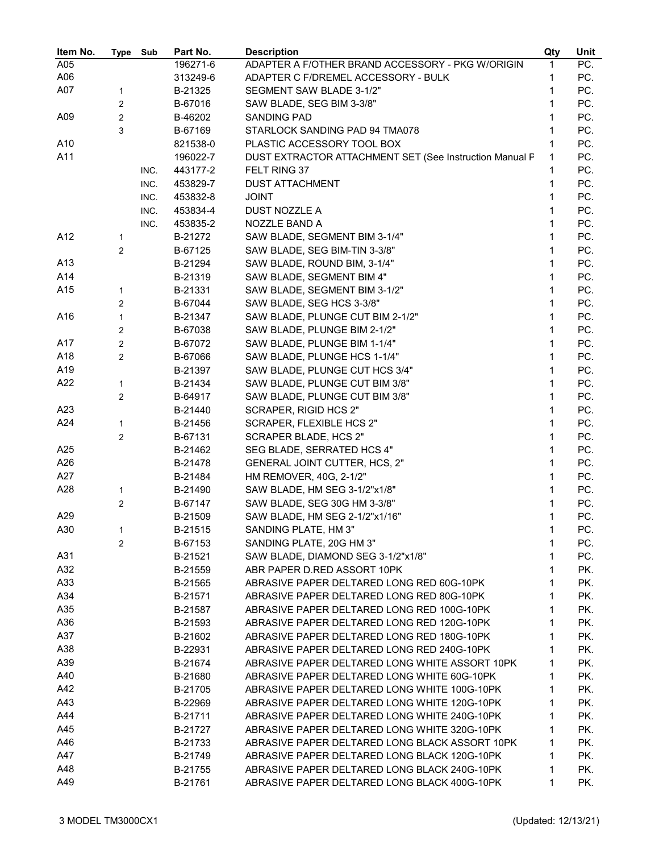| Item No. | Type           | Sub  | Part No. | <b>Description</b>                                      | Qty | Unit |
|----------|----------------|------|----------|---------------------------------------------------------|-----|------|
| A05      |                |      | 196271-6 | ADAPTER A F/OTHER BRAND ACCESSORY - PKG W/ORIGIN        | 1   | PC.  |
| A06      |                |      | 313249-6 | ADAPTER C F/DREMEL ACCESSORY - BULK                     | 1   | PC.  |
| A07      | 1              |      | B-21325  | SEGMENT SAW BLADE 3-1/2"                                | 1   | PC.  |
|          | 2              |      | B-67016  | SAW BLADE, SEG BIM 3-3/8"                               | 1   | PC.  |
| A09      | $\overline{2}$ |      | B-46202  | SANDING PAD                                             | 1   | PC.  |
|          | 3              |      | B-67169  | STARLOCK SANDING PAD 94 TMA078                          | 1   | PC.  |
| A10      |                |      | 821538-0 | PLASTIC ACCESSORY TOOL BOX                              | 1   | PC.  |
| A11      |                |      | 196022-7 | DUST EXTRACTOR ATTACHMENT SET (See Instruction Manual P | 1   | PC.  |
|          |                | INC. | 443177-2 | FELT RING 37                                            | 1   | PC.  |
|          |                | INC. | 453829-7 | <b>DUST ATTACHMENT</b>                                  | 1   | PC.  |
|          |                | INC. | 453832-8 | <b>JOINT</b>                                            | 1   | PC.  |
|          |                | INC. | 453834-4 | DUST NOZZLE A                                           | 1   | PC.  |
|          |                | INC. | 453835-2 | NOZZLE BAND A                                           | 1   | PC.  |
| A12      | 1              |      | B-21272  | SAW BLADE, SEGMENT BIM 3-1/4"                           | 1   | PC.  |
|          | $\overline{2}$ |      | B-67125  | SAW BLADE, SEG BIM-TIN 3-3/8"                           | 1   | PC.  |
| A13      |                |      | B-21294  | SAW BLADE, ROUND BIM, 3-1/4"                            | 1   | PC.  |
| A14      |                |      | B-21319  | SAW BLADE, SEGMENT BIM 4"                               | 1   | PC.  |
| A15      | 1              |      | B-21331  | SAW BLADE, SEGMENT BIM 3-1/2"                           | 1   | PC.  |
|          | 2              |      | B-67044  | SAW BLADE, SEG HCS 3-3/8"                               | 1   | PC.  |
| A16      | $\mathbf{1}$   |      | B-21347  | SAW BLADE, PLUNGE CUT BIM 2-1/2"                        | 1   | PC.  |
|          | 2              |      | B-67038  | SAW BLADE, PLUNGE BIM 2-1/2"                            | 1   | PC.  |
| A17      | 2              |      | B-67072  | SAW BLADE, PLUNGE BIM 1-1/4"                            | 1   | PC.  |
| A18      | 2              |      | B-67066  | SAW BLADE, PLUNGE HCS 1-1/4"                            | 1   | PC.  |
| A19      |                |      | B-21397  | SAW BLADE, PLUNGE CUT HCS 3/4"                          | 1   | PC.  |
| A22      | 1              |      | B-21434  | SAW BLADE, PLUNGE CUT BIM 3/8"                          | 1   | PC.  |
|          | 2              |      | B-64917  | SAW BLADE, PLUNGE CUT BIM 3/8"                          | 1   | PC.  |
| A23      |                |      | B-21440  | SCRAPER, RIGID HCS 2"                                   | 1   | PC.  |
| A24      | 1              |      | B-21456  | SCRAPER, FLEXIBLE HCS 2"                                | 1   | PC.  |
|          | 2              |      | B-67131  | SCRAPER BLADE, HCS 2"                                   | 1   | PC.  |
| A25      |                |      | B-21462  | SEG BLADE, SERRATED HCS 4"                              | 1   | PC.  |
| A26      |                |      | B-21478  | <b>GENERAL JOINT CUTTER, HCS, 2"</b>                    | 1   | PC.  |
| A27      |                |      | B-21484  | HM REMOVER, 40G, 2-1/2"                                 | 1   | PC.  |
| A28      | 1              |      | B-21490  | SAW BLADE, HM SEG 3-1/2"x1/8"                           | 1   | PC.  |
|          | 2              |      | B-67147  | SAW BLADE, SEG 30G HM 3-3/8"                            | 1   | PC.  |
| A29      |                |      | B-21509  | SAW BLADE, HM SEG 2-1/2"x1/16"                          | 1   | PC.  |
| A30      | 1              |      | B-21515  | SANDING PLATE, HM 3"                                    | 1   | PC.  |
|          | 2              |      | B-67153  | SANDING PLATE, 20G HM 3"                                | 1   | PC.  |
| A31      |                |      | B-21521  | SAW BLADE, DIAMOND SEG 3-1/2"x1/8"                      | 1   | PC.  |
| A32      |                |      | B-21559  | ABR PAPER D.RED ASSORT 10PK                             | 1   | PK.  |
| A33      |                |      | B-21565  | ABRASIVE PAPER DELTARED LONG RED 60G-10PK               | 1   | PK.  |
| A34      |                |      | B-21571  | ABRASIVE PAPER DELTARED LONG RED 80G-10PK               | 1   | PK.  |
| A35      |                |      | B-21587  | ABRASIVE PAPER DELTARED LONG RED 100G-10PK              | 1   | PK.  |
| A36      |                |      | B-21593  | ABRASIVE PAPER DELTARED LONG RED 120G-10PK              | 1   | PK.  |
| A37      |                |      | B-21602  | ABRASIVE PAPER DELTARED LONG RED 180G-10PK              | 1   | PK.  |
| A38      |                |      | B-22931  | ABRASIVE PAPER DELTARED LONG RED 240G-10PK              | 1   | PK.  |
| A39      |                |      | B-21674  | ABRASIVE PAPER DELTARED LONG WHITE ASSORT 10PK          | 1   | PK.  |
| A40      |                |      | B-21680  | ABRASIVE PAPER DELTARED LONG WHITE 60G-10PK             | 1   | PK.  |
| A42      |                |      | B-21705  | ABRASIVE PAPER DELTARED LONG WHITE 100G-10PK            | 1   | PK.  |
| A43      |                |      | B-22969  | ABRASIVE PAPER DELTARED LONG WHITE 120G-10PK            | 1   | PK.  |
| A44      |                |      | B-21711  | ABRASIVE PAPER DELTARED LONG WHITE 240G-10PK            | 1   | PK.  |
| A45      |                |      | B-21727  | ABRASIVE PAPER DELTARED LONG WHITE 320G-10PK            | 1   | PK.  |
| A46      |                |      | B-21733  | ABRASIVE PAPER DELTARED LONG BLACK ASSORT 10PK          | 1   | PK.  |
| A47      |                |      | B-21749  | ABRASIVE PAPER DELTARED LONG BLACK 120G-10PK            | 1   | PK.  |
| A48      |                |      | B-21755  | ABRASIVE PAPER DELTARED LONG BLACK 240G-10PK            | 1   | PK.  |
| A49      |                |      | B-21761  | ABRASIVE PAPER DELTARED LONG BLACK 400G-10PK            | 1   | PK.  |